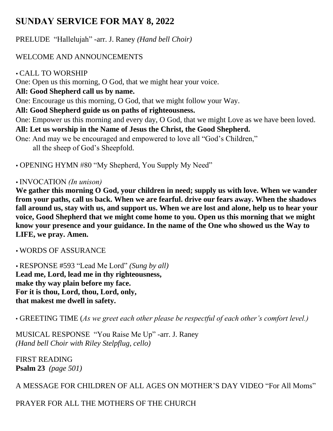# **SUNDAY SERVICE FOR MAY 8, 2022**

PRELUDE "Hallelujah" -arr. J. Raney *(Hand bell Choir)* 

## WELCOME AND ANNOUNCEMENTS

## CALL TO WORSHIP

One: Open us this morning, O God, that we might hear your voice.

## **All: Good Shepherd call us by name.**

One: Encourage us this morning, O God, that we might follow your Way.

## **All: Good Shepherd guide us on paths of righteousness.**

One: Empower us this morning and every day, O God, that we might Love as we have been loved.

## **All: Let us worship in the Name of Jesus the Christ, the Good Shepherd.**

One: And may we be encouraged and empowered to love all "God's Children," all the sheep of God's Sheepfold.

OPENING HYMN #80 "My Shepherd, You Supply My Need"

#### INVOCATION *(In unison)*

**We gather this morning O God, your children in need; supply us with love. When we wander from your paths, call us back. When we are fearful. drive our fears away. When the shadows fall around us, stay with us, and support us. When we are lost and alone, help us to hear your voice, Good Shepherd that we might come home to you. Open us this morning that we might know your presence and your guidance. In the name of the One who showed us the Way to LIFE, we pray. Amen.**

WORDS OF ASSURANCE

 RESPONSE #593 "Lead Me Lord" *(Sung by all)* **Lead me, Lord, lead me in thy righteousness, make thy way plain before my face. For it is thou, Lord, thou, Lord, only, that makest me dwell in safety.**

• GREETING TIME (*As we greet each other please be respectful of each other's comfort level.)*

MUSICAL RESPONSE "You Raise Me Up" -arr. J. Raney *(Hand bell Choir with Riley Stelpflug, cello)* 

FIRST READING **Psalm 23** *(page 501)*

A MESSAGE FOR CHILDREN OF ALL AGES ON MOTHER'S DAY VIDEO "For All Moms"

# PRAYER FOR ALL THE MOTHERS OF THE CHURCH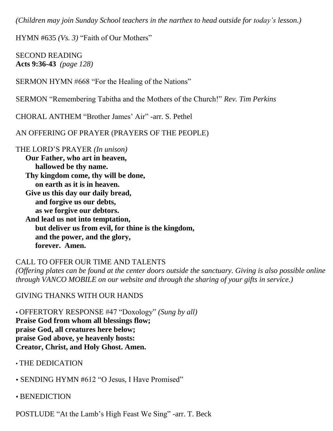*(Children may join Sunday School teachers in the narthex to head outside for today's lesson.)*

HYMN #635 *(Vs. 3)* "Faith of Our Mothers"

SECOND READING **Acts 9:36-43** *(page 128)*

SERMON HYMN #668 "For the Healing of the Nations"

SERMON "Remembering Tabitha and the Mothers of the Church!" *Rev. Tim Perkins*

CHORAL ANTHEM "Brother James' Air" -arr. S. Pethel

AN OFFERING OF PRAYER (PRAYERS OF THE PEOPLE)

THE LORD'S PRAYER *(In unison)* **Our Father, who art in heaven, hallowed be thy name. Thy kingdom come, thy will be done, on earth as it is in heaven. Give us this day our daily bread, and forgive us our debts, as we forgive our debtors. And lead us not into temptation, but deliver us from evil, for thine is the kingdom, and the power, and the glory, forever. Amen.** 

CALL TO OFFER OUR TIME AND TALENTS *(Offering plates can be found at the center doors outside the sanctuary. Giving is also possible online through VANCO MOBILE on our website and through the sharing of your gifts in service.)*

GIVING THANKS WITH OUR HANDS

• OFFERTORY RESPONSE #47 "Doxology" *(Sung by all)*  **Praise God from whom all blessings flow; praise God, all creatures here below; praise God above, ye heavenly hosts: Creator, Christ, and Holy Ghost. Amen.**

- THE DEDICATION
- SENDING HYMN #612 "O Jesus, I Have Promised"
- BENEDICTION

POSTLUDE "At the Lamb's High Feast We Sing" -arr. T. Beck